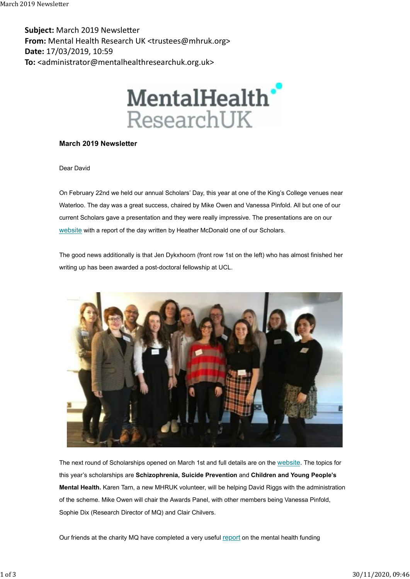Subject: March 2019 Newsletter From: Mental Health Research UK <trustees@mhruk.org> Date: 17/03/2019, 10:59 To: <administrator@mentalhealthresearchuk.org.uk> March 2019 Newsletter<br> **Subject:** March 2019 Newsletter<br> **From:** Mental Health Research UK <trustees@mhruk.org>



## March 2019 Newsletter

Dear David

On February 22nd we held our annual Scholars' Day, this year at one of the King's College venues near Waterloo. The day was a great success, chaired by Mike Owen and Vanessa Pinfold. All but one of our current Scholars gave a presentation and they were really impressive. The presentations are on our website with a report of the day written by Heather McDonald one of our Scholars.

The good news additionally is that Jen Dykxhoorn (front row 1st on the left) who has almost finished her writing up has been awarded a post-doctoral fellowship at UCL.



The next round of Scholarships opened on March 1st and full details are on the website. The topics for this year's scholarships are Schizophrenia, Suicide Prevention and Children and Young People's Mental Health. Karen Tarn, a new MHRUK volunteer, will be helping David Riggs with the administration of the scheme. Mike Owen will chair the Awards Panel, with other members being Vanessa Pinfold, Sophie Dix (Research Director of MQ) and Clair Chilvers.

Our friends at the charity MQ have completed a very useful report on the mental health funding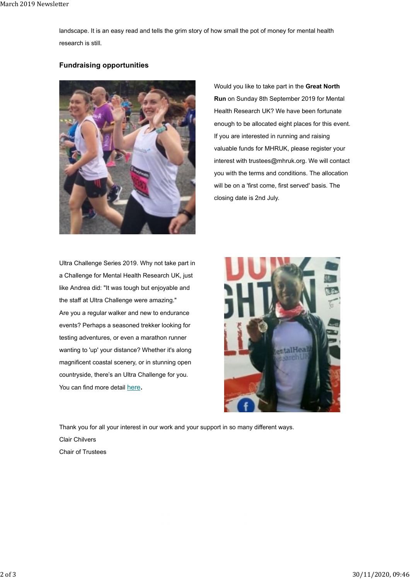landscape. It is an easy read and tells the grim story of how small the pot of money for mental health research is still. March 2019 Newsletter<br>landscape. It is an easy read and tells the grim story of how small the pot of money for mental health<br>research is still.

## Fundraising opportunities



Ultra Challenge Series 2019. Why not take part in a Challenge for Mental Health Research UK, just like Andrea did: "It was tough but enjoyable and the staff at Ultra Challenge were amazing." Are you a regular walker and new to endurance events? Perhaps a seasoned trekker looking for testing adventures, or even a marathon runner wanting to 'up' your distance? Whether it's along magnificent coastal scenery, or in stunning open countryside, there's an Ultra Challenge for you. You can find more detail here.

Would you like to take part in the Great North Run on Sunday 8th September 2019 for Mental Health Research UK? We have been fortunate enough to be allocated eight places for this event. If you are interested in running and raising valuable funds for MHRUK, please register your interest with trustees@mhruk.org. We will contact you with the terms and conditions. The allocation will be on a 'first come, first served' basis. The closing date is 2nd July.



Thank you for all your interest in our work and your support in so many different ways. Clair Chilvers Chair of Trustees